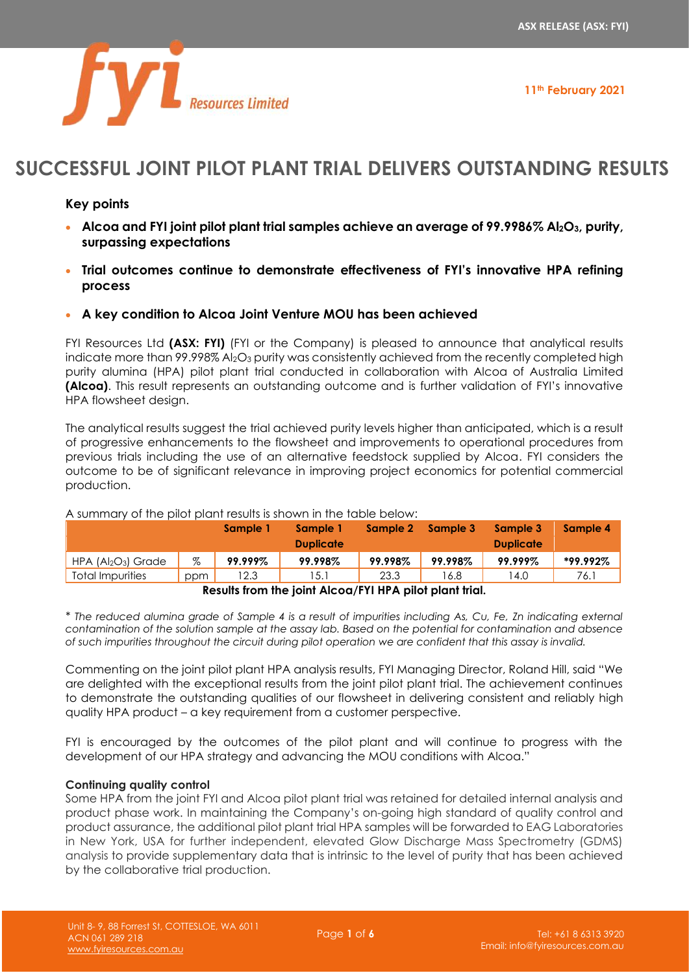

**11th February 2021**

# **SUCCESSFUL JOINT PILOT PLANT TRIAL DELIVERS OUTSTANDING RESULTS**

# **Key points**

- **Alcoa and FYI joint pilot plant trial samples achieve an average of 99.9986% Al2O3, purity, surpassing expectations**
- **Trial outcomes continue to demonstrate effectiveness of FYI's innovative HPA refining process**
- **A key condition to Alcoa Joint Venture MOU has been achieved**

FYI Resources Ltd **(ASX: FYI)** (FYI or the Company) is pleased to announce that analytical results indicate more than  $99.998\%$  Al<sub>2</sub>O<sub>3</sub> purity was consistently achieved from the recently completed high purity alumina (HPA) pilot plant trial conducted in collaboration with Alcoa of Australia Limited **(Alcoa)**. This result represents an outstanding outcome and is further validation of FYI's innovative HPA flowsheet design.

The analytical results suggest the trial achieved purity levels higher than anticipated, which is a result of progressive enhancements to the flowsheet and improvements to operational procedures from previous trials including the use of an alternative feedstock supplied by Alcoa. FYI considers the outcome to be of significant relevance in improving project economics for potential commercial production.

|                     |     | Sample 1 | Sample 1<br><b>Duplicate</b> | Sample 2 | Sample 3 | Sample 3<br><b>Duplicate</b> | Sample 4 |
|---------------------|-----|----------|------------------------------|----------|----------|------------------------------|----------|
| $HPA (Al2O3)$ Grade | %   | 99.999%  | 99.998%                      | 99.998%  | 99.998%  | 99.999%                      | *99.992% |
| Total Impurities    | ppm | 12.3     | 15.1                         | 23.3     | 16.8     | 14.0                         | 76.1     |

A summary of the pilot plant results is shown in the table below:

**Results from the joint Alcoa/FYI HPA pilot plant trial.**

*\* The reduced alumina grade of Sample 4 is a result of impurities including As, Cu, Fe, Zn indicating external contamination of the solution sample at the assay lab. Based on the potential for contamination and absence of such impurities throughout the circuit during pilot operation we are confident that this assay is invalid.*

Commenting on the joint pilot plant HPA analysis results, FYI Managing Director, Roland Hill, said "We are delighted with the exceptional results from the joint pilot plant trial. The achievement continues to demonstrate the outstanding qualities of our flowsheet in delivering consistent and reliably high quality HPA product – a key requirement from a customer perspective.

FYI is encouraged by the outcomes of the pilot plant and will continue to progress with the development of our HPA strategy and advancing the MOU conditions with Alcoa."

# **Continuing quality control**

Some HPA from the joint FYI and Alcoa pilot plant trial was retained for detailed internal analysis and product phase work. In maintaining the Company's on-going high standard of quality control and product assurance, the additional pilot plant trial HPA samples will be forwarded to EAG Laboratories in New York, USA for further independent, elevated Glow Discharge Mass Spectrometry (GDMS) analysis to provide supplementary data that is intrinsic to the level of purity that has been achieved by the collaborative trial production.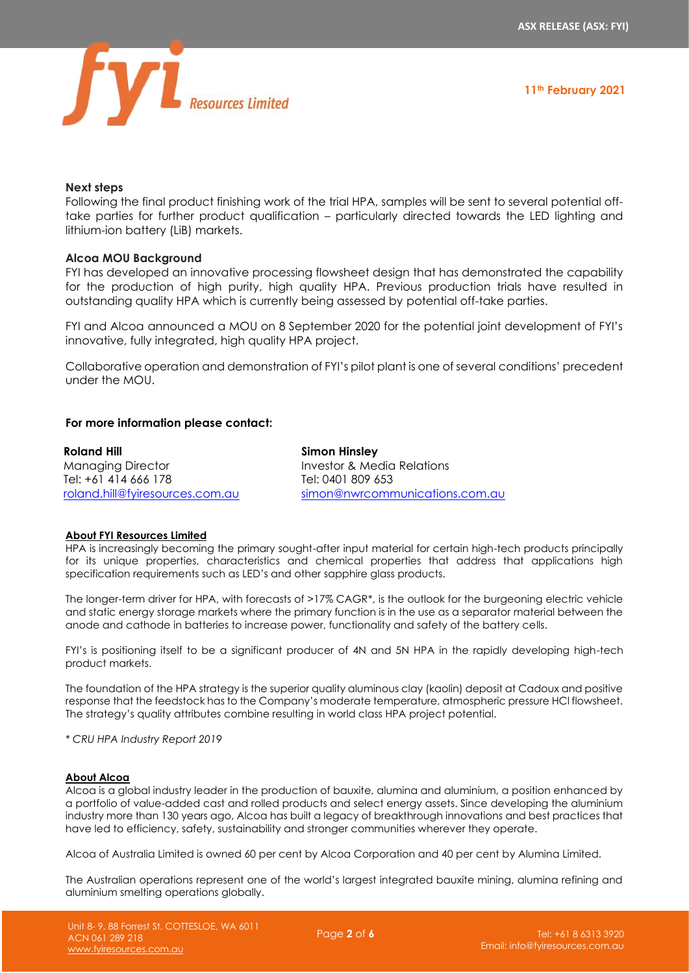

#### **Next steps**

Following the final product finishing work of the trial HPA, samples will be sent to several potential offtake parties for further product qualification – particularly directed towards the LED lighting and lithium-ion battery (LiB) markets.

## **Alcoa MOU Background**

FYI has developed an innovative processing flowsheet design that has demonstrated the capability for the production of high purity, high quality HPA. Previous production trials have resulted in outstanding quality HPA which is currently being assessed by potential off-take parties.

FYI and Alcoa announced a MOU on 8 September 2020 for the potential joint development of FYI's innovative, fully integrated, high quality HPA project.

Collaborative operation and demonstration of FYI's pilot plant is one of several conditions' precedent under the MOU.

## **For more information please contact:**

| Roland Hill                     | Simon Hinsley                  |
|---------------------------------|--------------------------------|
| <b>Managing Director</b>        | Investor & Media Relations     |
| Tel: +61 414 666 178            | Tel: 0401 809 653              |
| roland.hill@fyiresources.com.au | simon@nwrcommunications.com.au |

#### **About FYI Resources Limited**

HPA is increasingly becoming the primary sought-after input material for certain high-tech products principally for its unique properties, characteristics and chemical properties that address that applications high specification requirements such as LED's and other sapphire glass products.

The longer-term driver for HPA, with forecasts of >17% CAGR\*, is the outlook for the burgeoning electric vehicle and static energy storage markets where the primary function is in the use as a separator material between the anode and cathode in batteries to increase power, functionality and safety of the battery cells.

FYI's is positioning itself to be a significant producer of 4N and 5N HPA in the rapidly developing high-tech product markets.

The foundation of the HPA strategy is the superior quality aluminous clay (kaolin) deposit at Cadoux and positive response that the feedstock has to the Company's moderate temperature, atmospheric pressure HCl flowsheet. The strategy's quality attributes combine resulting in world class HPA project potential.

*\* CRU HPA Industry Report 2019*

#### **About Alcoa**

Alcoa is a global industry leader in the production of bauxite, alumina and aluminium, a position enhanced by a portfolio of value-added cast and rolled products and select energy assets. Since developing the aluminium industry more than 130 years ago, Alcoa has built a legacy of breakthrough innovations and best practices that have led to efficiency, safety, sustainability and stronger communities wherever they operate.

Alcoa of Australia Limited is owned 60 per cent by Alcoa Corporation and 40 per cent by Alumina Limited.

The Australian operations represent one of the world's largest integrated bauxite mining, alumina refining and aluminium smelting operations globally.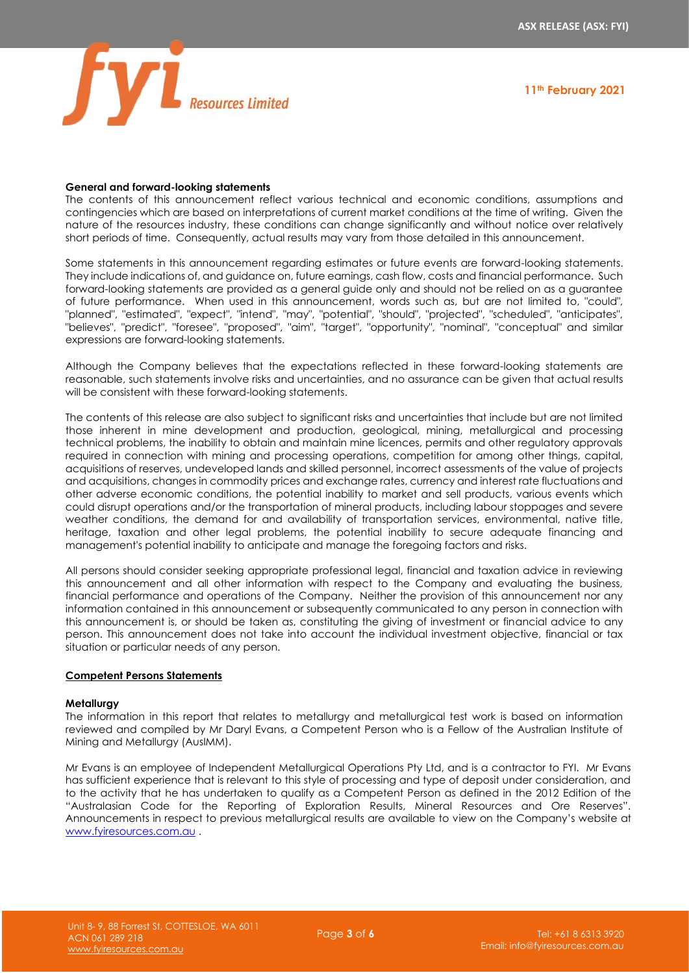

#### **General and forward-looking statements**

The contents of this announcement reflect various technical and economic conditions, assumptions and contingencies which are based on interpretations of current market conditions at the time of writing. Given the nature of the resources industry, these conditions can change significantly and without notice over relatively short periods of time. Consequently, actual results may vary from those detailed in this announcement.

Some statements in this announcement regarding estimates or future events are forward-looking statements. They include indications of, and guidance on, future earnings, cash flow, costs and financial performance. Such forward-looking statements are provided as a general guide only and should not be relied on as a guarantee of future performance. When used in this announcement, words such as, but are not limited to, "could", "planned", "estimated", "expect", "intend", "may", "potential", "should", "projected", "scheduled", "anticipates", "believes", "predict", "foresee", "proposed", "aim", "target", "opportunity", "nominal", "conceptual" and similar expressions are forward-looking statements.

Although the Company believes that the expectations reflected in these forward-looking statements are reasonable, such statements involve risks and uncertainties, and no assurance can be given that actual results will be consistent with these forward-looking statements.

The contents of this release are also subject to significant risks and uncertainties that include but are not limited those inherent in mine development and production, geological, mining, metallurgical and processing technical problems, the inability to obtain and maintain mine licences, permits and other regulatory approvals required in connection with mining and processing operations, competition for among other things, capital, acquisitions of reserves, undeveloped lands and skilled personnel, incorrect assessments of the value of projects and acquisitions, changes in commodity prices and exchange rates, currency and interest rate fluctuations and other adverse economic conditions, the potential inability to market and sell products, various events which could disrupt operations and/or the transportation of mineral products, including labour stoppages and severe weather conditions, the demand for and availability of transportation services, environmental, native title, heritage, taxation and other legal problems, the potential inability to secure adequate financing and management's potential inability to anticipate and manage the foregoing factors and risks.

All persons should consider seeking appropriate professional legal, financial and taxation advice in reviewing this announcement and all other information with respect to the Company and evaluating the business, financial performance and operations of the Company. Neither the provision of this announcement nor any information contained in this announcement or subsequently communicated to any person in connection with this announcement is, or should be taken as, constituting the giving of investment or financial advice to any person. This announcement does not take into account the individual investment objective, financial or tax situation or particular needs of any person.

## **Competent Persons Statements**

#### **Metallurgy**

The information in this report that relates to metallurgy and metallurgical test work is based on information reviewed and compiled by Mr Daryl Evans, a Competent Person who is a Fellow of the Australian Institute of Mining and Metallurgy (AusIMM).

Mr Evans is an employee of Independent Metallurgical Operations Pty Ltd, and is a contractor to FYI. Mr Evans has sufficient experience that is relevant to this style of processing and type of deposit under consideration, and to the activity that he has undertaken to qualify as a Competent Person as defined in the 2012 Edition of the "Australasian Code for the Reporting of Exploration Results, Mineral Resources and Ore Reserves". Announcements in respect to previous metallurgical results are available to view on the Company's website at [www.fyiresources.com.au](http://www.fyiresources.com.au/) .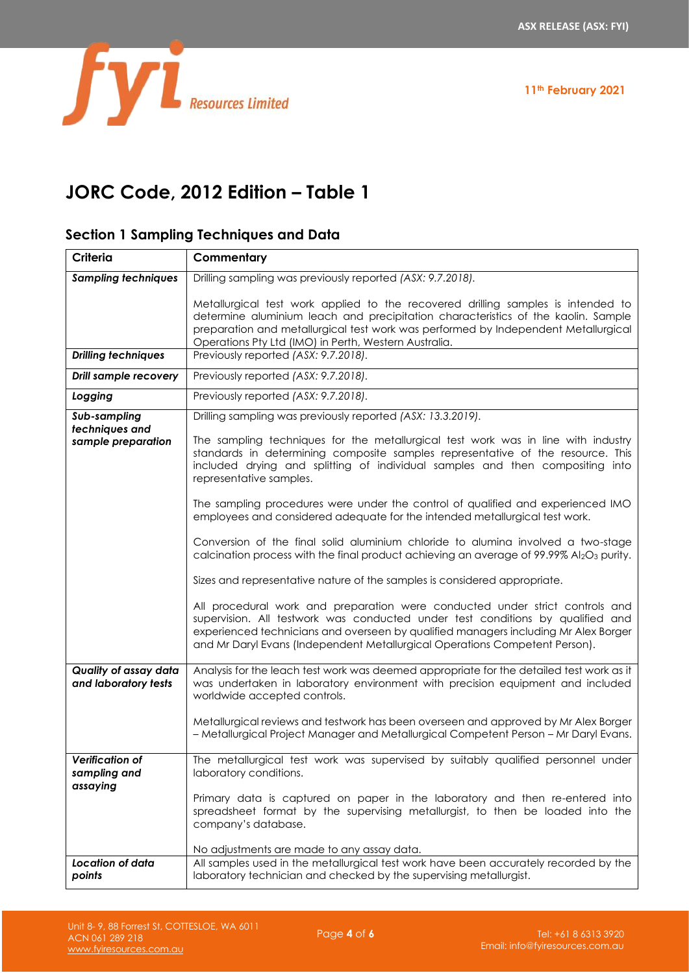

# **JORC Code, 2012 Edition – Table 1**

# **Section 1 Sampling Techniques and Data**

| <b>Criteria</b>                                      | Commentary                                                                                                                                                                                                                                                                                                                                                                                                                                                                                                                                                                                                                                                                                                                                                                                                                                                                                                                                                                                                                                                                                                            |  |
|------------------------------------------------------|-----------------------------------------------------------------------------------------------------------------------------------------------------------------------------------------------------------------------------------------------------------------------------------------------------------------------------------------------------------------------------------------------------------------------------------------------------------------------------------------------------------------------------------------------------------------------------------------------------------------------------------------------------------------------------------------------------------------------------------------------------------------------------------------------------------------------------------------------------------------------------------------------------------------------------------------------------------------------------------------------------------------------------------------------------------------------------------------------------------------------|--|
| <b>Sampling techniques</b>                           | Drilling sampling was previously reported (ASX: 9.7.2018).                                                                                                                                                                                                                                                                                                                                                                                                                                                                                                                                                                                                                                                                                                                                                                                                                                                                                                                                                                                                                                                            |  |
|                                                      | Metallurgical test work applied to the recovered drilling samples is intended to<br>determine aluminium leach and precipitation characteristics of the kaolin. Sample<br>preparation and metallurgical test work was performed by Independent Metallurgical<br>Operations Pty Ltd (IMO) in Perth, Western Australia.                                                                                                                                                                                                                                                                                                                                                                                                                                                                                                                                                                                                                                                                                                                                                                                                  |  |
| <b>Drilling techniques</b>                           | Previously reported (ASX: 9.7.2018).                                                                                                                                                                                                                                                                                                                                                                                                                                                                                                                                                                                                                                                                                                                                                                                                                                                                                                                                                                                                                                                                                  |  |
| Drill sample recovery                                | Previously reported (ASX: 9.7.2018).                                                                                                                                                                                                                                                                                                                                                                                                                                                                                                                                                                                                                                                                                                                                                                                                                                                                                                                                                                                                                                                                                  |  |
| Logging                                              | Previously reported (ASX: 9.7.2018).                                                                                                                                                                                                                                                                                                                                                                                                                                                                                                                                                                                                                                                                                                                                                                                                                                                                                                                                                                                                                                                                                  |  |
| Sub-sampling<br>techniques and<br>sample preparation | Drilling sampling was previously reported (ASX: 13.3.2019).<br>The sampling techniques for the metallurgical test work was in line with industry<br>standards in determining composite samples representative of the resource. This<br>included drying and splitting of individual samples and then compositing into<br>representative samples.<br>The sampling procedures were under the control of qualified and experienced IMO<br>employees and considered adequate for the intended metallurgical test work.<br>Conversion of the final solid aluminium chloride to alumina involved a two-stage<br>calcination process with the final product achieving an average of 99.99% Al2O3 purity.<br>Sizes and representative nature of the samples is considered appropriate.<br>All procedural work and preparation were conducted under strict controls and<br>supervision. All testwork was conducted under test conditions by qualified and<br>experienced technicians and overseen by qualified managers including Mr Alex Borger<br>and Mr Daryl Evans (Independent Metallurgical Operations Competent Person). |  |
| Quality of assay data<br>and laboratory tests        | Analysis for the leach test work was deemed appropriate for the detailed test work as it<br>was undertaken in laboratory environment with precision equipment and included<br>worldwide accepted controls.<br>Metallurgical reviews and testwork has been overseen and approved by Mr Alex Borger<br>- Metallurgical Project Manager and Metallurgical Competent Person - Mr Daryl Evans.                                                                                                                                                                                                                                                                                                                                                                                                                                                                                                                                                                                                                                                                                                                             |  |
| <b>Verification of</b><br>sampling and<br>assaying   | The metallurgical test work was supervised by suitably qualified personnel under<br>laboratory conditions.<br>Primary data is captured on paper in the laboratory and then re-entered into<br>spreadsheet format by the supervising metallurgist, to then be loaded into the<br>company's database.<br>No adjustments are made to any assay data.                                                                                                                                                                                                                                                                                                                                                                                                                                                                                                                                                                                                                                                                                                                                                                     |  |
| Location of data<br>points                           | All samples used in the metallurgical test work have been accurately recorded by the<br>laboratory technician and checked by the supervising metallurgist.                                                                                                                                                                                                                                                                                                                                                                                                                                                                                                                                                                                                                                                                                                                                                                                                                                                                                                                                                            |  |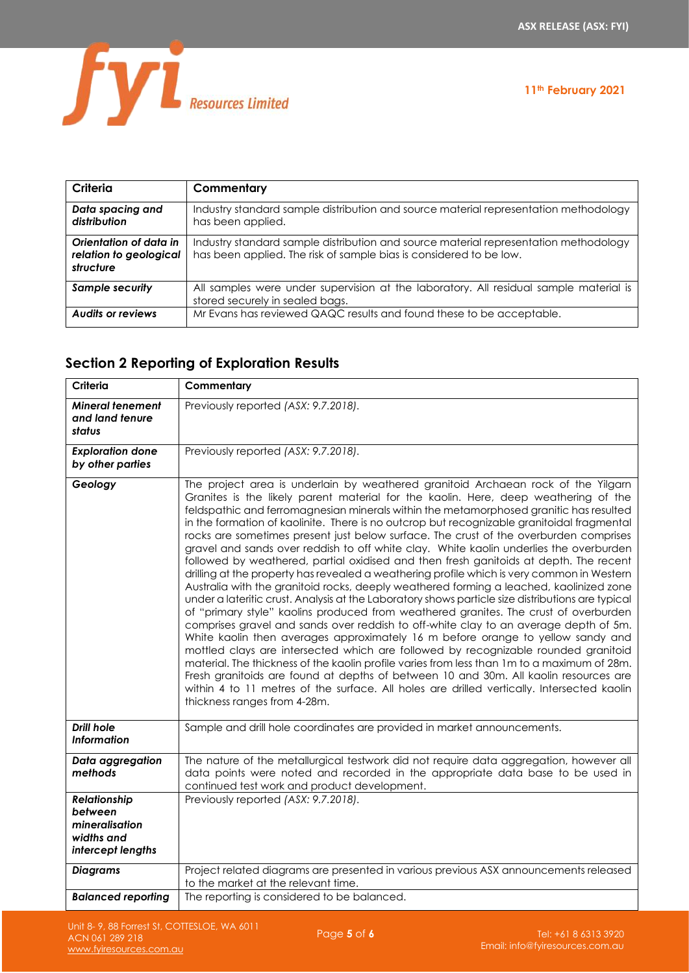

## **11th February 2021**

| Criteria                                                      | Commentary                                                                                                                                                 |
|---------------------------------------------------------------|------------------------------------------------------------------------------------------------------------------------------------------------------------|
| Data spacing and<br>distribution                              | Industry standard sample distribution and source material representation methodology<br>has been applied.                                                  |
| Orientation of data in<br>relation to geological<br>structure | Industry standard sample distribution and source material representation methodology<br>has been applied. The risk of sample bias is considered to be low. |
| <b>Sample security</b>                                        | All samples were under supervision at the laboratory. All residual sample material is<br>stored securely in sealed bags.                                   |
| <b>Audits or reviews</b>                                      | Mr Evans has reviewed QAQC results and found these to be acceptable.                                                                                       |

# **Section 2 Reporting of Exploration Results**

| Criteria                                                                            | Commentary                                                                                                                                                                                                                                                                                                                                                                                                                                                                                                                                                                                                                                                                                                                                                                                                                                                                                                                                                                                                                                                                                                                                                                                                                                                                                                                                                                                                                                                                                                                                                                                                               |
|-------------------------------------------------------------------------------------|--------------------------------------------------------------------------------------------------------------------------------------------------------------------------------------------------------------------------------------------------------------------------------------------------------------------------------------------------------------------------------------------------------------------------------------------------------------------------------------------------------------------------------------------------------------------------------------------------------------------------------------------------------------------------------------------------------------------------------------------------------------------------------------------------------------------------------------------------------------------------------------------------------------------------------------------------------------------------------------------------------------------------------------------------------------------------------------------------------------------------------------------------------------------------------------------------------------------------------------------------------------------------------------------------------------------------------------------------------------------------------------------------------------------------------------------------------------------------------------------------------------------------------------------------------------------------------------------------------------------------|
| <b>Mineral tenement</b><br>and land tenure<br>status                                | Previously reported (ASX: 9.7.2018).                                                                                                                                                                                                                                                                                                                                                                                                                                                                                                                                                                                                                                                                                                                                                                                                                                                                                                                                                                                                                                                                                                                                                                                                                                                                                                                                                                                                                                                                                                                                                                                     |
| <b>Exploration done</b><br>by other parties                                         | Previously reported (ASX: 9.7.2018).                                                                                                                                                                                                                                                                                                                                                                                                                                                                                                                                                                                                                                                                                                                                                                                                                                                                                                                                                                                                                                                                                                                                                                                                                                                                                                                                                                                                                                                                                                                                                                                     |
| Geology                                                                             | The project area is underlain by weathered granitoid Archaean rock of the Yilgarn<br>Granites is the likely parent material for the kaolin. Here, deep weathering of the<br>feldspathic and ferromagnesian minerals within the metamorphosed granitic has resulted<br>in the formation of kaolinite. There is no outcrop but recognizable granitoidal fragmental<br>rocks are sometimes present just below surface. The crust of the overburden comprises<br>gravel and sands over reddish to off white clay. White kaolin underlies the overburden<br>followed by weathered, partial oxidised and then fresh ganitoids at depth. The recent<br>drilling at the property has revealed a weathering profile which is very common in Western<br>Australia with the granitoid rocks, deeply weathered forming a leached, kaolinized zone<br>under a lateritic crust. Analysis at the Laboratory shows particle size distributions are typical<br>of "primary style" kaolins produced from weathered granites. The crust of overburden<br>comprises gravel and sands over reddish to off-white clay to an average depth of 5m.<br>White kaolin then averages approximately 16 m before orange to yellow sandy and<br>mottled clays are intersected which are followed by recognizable rounded granitoid<br>material. The thickness of the kaolin profile varies from less than 1m to a maximum of 28m.<br>Fresh granitoids are found at depths of between 10 and 30m. All kaolin resources are<br>within 4 to 11 metres of the surface. All holes are drilled vertically. Intersected kaolin<br>thickness ranges from 4-28m. |
| <b>Drill hole</b><br><b>Information</b>                                             | Sample and drill hole coordinates are provided in market announcements.                                                                                                                                                                                                                                                                                                                                                                                                                                                                                                                                                                                                                                                                                                                                                                                                                                                                                                                                                                                                                                                                                                                                                                                                                                                                                                                                                                                                                                                                                                                                                  |
| Data aggregation<br>methods                                                         | The nature of the metallurgical testwork did not require data aggregation, however all<br>data points were noted and recorded in the appropriate data base to be used in<br>continued test work and product development.                                                                                                                                                                                                                                                                                                                                                                                                                                                                                                                                                                                                                                                                                                                                                                                                                                                                                                                                                                                                                                                                                                                                                                                                                                                                                                                                                                                                 |
| <b>Relationship</b><br>between<br>mineralisation<br>widths and<br>intercept lengths | Previously reported (ASX: 9.7.2018).                                                                                                                                                                                                                                                                                                                                                                                                                                                                                                                                                                                                                                                                                                                                                                                                                                                                                                                                                                                                                                                                                                                                                                                                                                                                                                                                                                                                                                                                                                                                                                                     |
| <b>Diagrams</b>                                                                     | Project related diagrams are presented in various previous ASX announcements released<br>to the market at the relevant time.                                                                                                                                                                                                                                                                                                                                                                                                                                                                                                                                                                                                                                                                                                                                                                                                                                                                                                                                                                                                                                                                                                                                                                                                                                                                                                                                                                                                                                                                                             |
| <b>Balanced reporting</b>                                                           | The reporting is considered to be balanced.                                                                                                                                                                                                                                                                                                                                                                                                                                                                                                                                                                                                                                                                                                                                                                                                                                                                                                                                                                                                                                                                                                                                                                                                                                                                                                                                                                                                                                                                                                                                                                              |